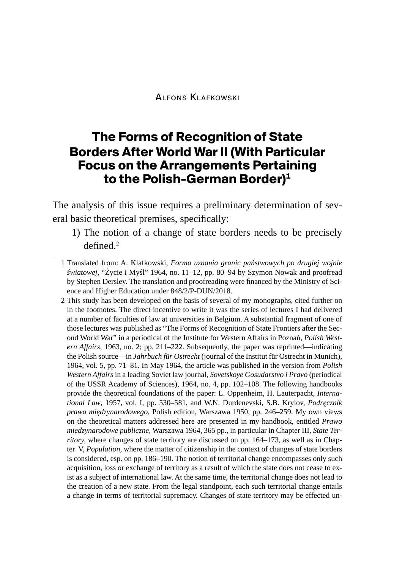# **The Forms of Recognition of State Borders After World War II (With Particular Focus on the Arrangements Pertaining to the Polish-German Border)1**

The analysis of this issue requires a preliminary determination of several basic theoretical premises, specifically:

1) The notion of a change of state borders needs to be precisely defined.<sup>2</sup>

2 This study has been developed on the basis of several of my monographs, cited further on in the footnotes. The direct incentive to write it was the series of lectures I had delivered at a number of faculties of law at universities in Belgium. A substantial fragment of one of those lectures was published as "The Forms of Recognition of State Frontiers after the Second World War" in a periodical of the Institute for Western Affairs in Poznań, *Polish Western Affairs*, 1963, no. 2; pp. 211–222. Subsequently, the paper was reprinted—indicating the Polish source—in *Jahrbuch für Ostrecht* (journal of the Institut für Ostrecht in Munich), 1964, vol. 5, pp. 71–81. In May 1964, the article was published in the version from *Polish Western Affairs* in a leading Soviet law journal, *Sovetskoye Gosudarstvo i Pravo* (periodical of the USSR Academy of Sciences), 1964, no. 4, pp. 102–108. The following handbooks provide the theoretical foundations of the paper: L. Oppenheim, H. Lauterpacht, *International Law*, 1957, vol. I, pp. 530–581, and W.N. Durdenevski, S.B. Krylov, *Podręcznik prawa międzynarodowego*, Polish edition, Warszawa 1950, pp. 246–259. My own views on the theoretical matters addressed here are presented in my handbook, entitled *Prawo międzynarodowe publiczne*, Warszawa 1964, 365 pp., in particular in Chapter III, *State Territory,* where changes of state territory are discussed on pp. 164–173, as well as in Chapter V, *Population*, where the matter of citizenship in the context of changes of state borders is considered, esp. on pp. 186–190. The notion of territorial change encompasses only such acquisition, loss or exchange of territory as a result of which the state does not cease to exist as a subject of international law. At the same time, the territorial change does not lead to the creation of a new state. From the legal standpoint, each such territorial change entails a change in terms of territorial supremacy. Changes of state territory may be effected un-

<sup>1</sup> Translated from: A. Klafkowski, *Forma uznania granic państwowych po drugiej wojnie światowej*, "Życie i Myśl" 1964, no. 11–12, pp. 80–94 by Szymon Nowak and proofread by Stephen Dersley. The translation and proofreading were financed by the Ministry of Science and Higher Education under 848/2/P-DUN/2018.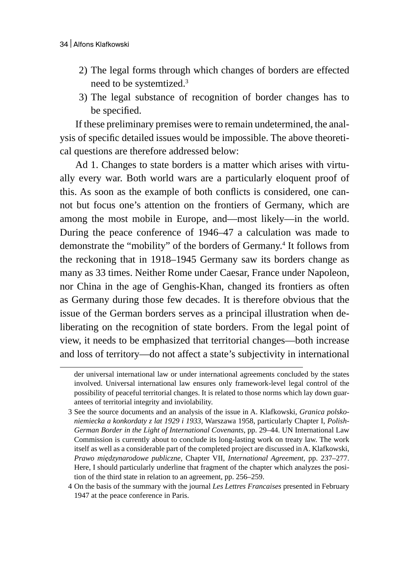- 2) The legal forms through which changes of borders are effected need to be systemtized.3
- 3) The legal substance of recognition of border changes has to be specified.

If these preliminary premises were to remain undetermined, the analysis of specific detailed issues would be impossible. The above theoretical questions are therefore addressed below:

Ad 1. Changes to state borders is a matter which arises with virtually every war. Both world wars are a particularly eloquent proof of this. As soon as the example of both conflicts is considered, one cannot but focus one's attention on the frontiers of Germany, which are among the most mobile in Europe, and—most likely—in the world. During the peace conference of 1946–47 a calculation was made to demonstrate the "mobility" of the borders of Germany.<sup>4</sup> It follows from the reckoning that in 1918–1945 Germany saw its borders change as many as 33 times. Neither Rome under Caesar, France under Napoleon, nor China in the age of Genghis-Khan, changed its frontiers as often as Germany during those few decades. It is therefore obvious that the issue of the German borders serves as a principal illustration when deliberating on the recognition of state borders. From the legal point of view, it needs to be emphasized that territorial changes—both increase and loss of territory—do not affect a state's subjectivity in international

der universal international law or under international agreements concluded by the states involved. Universal international law ensures only framework-level legal control of the possibility of peaceful territorial changes. It is related to those norms which lay down guarantees of territorial integrity and inviolability.

<sup>3</sup> See the source documents and an analysis of the issue in A. Klafkowski, *Granica polskoniemiecka a konkordaty z lat 1929 i 1933*, Warszawa 1958, particularly Chapter I, *Polish-German Border in the Light of International Covenants*, pp. 29–44. UN International Law Commission is currently about to conclude its long-lasting work on treaty law. The work itself as well as a considerable part of the completed project are discussed in A. Klafkowski, *Prawo międzynarodowe publiczne*, Chapter VII, *International Agreement*, pp. 237–277. Here, I should particularly underline that fragment of the chapter which analyzes the position of the third state in relation to an agreement, pp. 256–259.

<sup>4</sup> On the basis of the summary with the journal *Les Lettres Francaises* presented in February 1947 at the peace conference in Paris.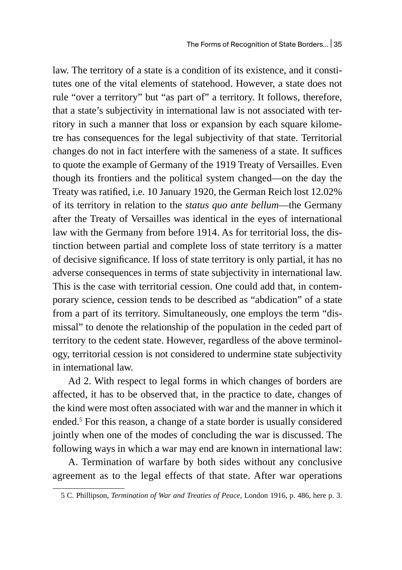law. The territory of a state is a condition of its existence, and it constitutes one of the vital elements of statehood. However, a state does not rule "over a territory" but "as part of" a territory. It follows, therefore, that a state's subjectivity in international law is not associated with territory in such a manner that loss or expansion by each square kilometre has consequences for the legal subjectivity of that state. Territorial changes do not in fact interfere with the sameness of a state. It suffices to quote the example of Germany of the 1919 Treaty of Versailles. Even though its frontiers and the political system changed—on the day the Treaty was ratified, i.e. 10 January 1920, the German Reich lost 12.02% of its territory in relation to the *status quo ante bellum*—the Germany after the Treaty of Versailles was identical in the eyes of international law with the Germany from before 1914. As for territorial loss, the distinction between partial and complete loss of state territory is a matter of decisive significance. If loss of state territory is only partial, it has no adverse consequences in terms of state subjectivity in international law. This is the case with territorial cession. One could add that, in contemporary science, cession tends to be described as "abdication" of a state from a part of its territory. Simultaneously, one employs the term "dismissal" to denote the relationship of the population in the ceded part of territory to the cedent state. However, regardless of the above terminology, territorial cession is not considered to undermine state subjectivity in international law.

Ad 2. With respect to legal forms in which changes of borders are affected, it has to be observed that, in the practice to date, changes of the kind were most often associated with war and the manner in which it ended.5 For this reason, a change of a state border is usually considered jointly when one of the modes of concluding the war is discussed. The following ways in which a war may end are known in international law:

A. Termination of warfare by both sides without any conclusive agreement as to the legal effects of that state. After war operations

<sup>5</sup> C. Phillipson, *Termination of War and Treaties of Peace*, London 1916, p. 486, here p. 3.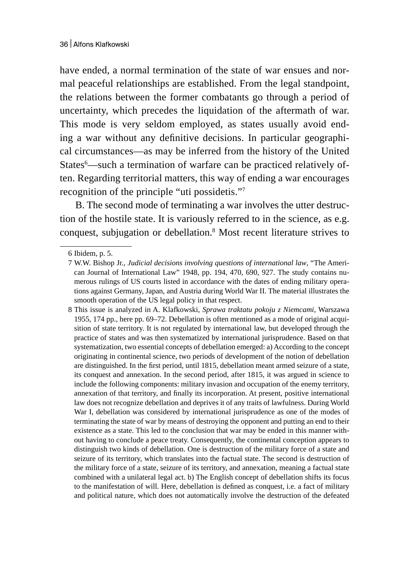have ended, a normal termination of the state of war ensues and normal peaceful relationships are established. From the legal standpoint, the relations between the former combatants go through a period of uncertainty, which precedes the liquidation of the aftermath of war. This mode is very seldom employed, as states usually avoid ending a war without any definitive decisions. In particular geographical circumstances—as may be inferred from the history of the United States<sup>6</sup>—such a termination of warfare can be practiced relatively often. Regarding territorial matters, this way of ending a war encourages recognition of the principle "uti possidetis."7

B. The second mode of terminating a war involves the utter destruction of the hostile state. It is variously referred to in the science, as e.g. conquest, subjugation or debellation.<sup>8</sup> Most recent literature strives to

<sup>6</sup> Ibidem, p. 5.

<sup>7</sup> W.W. Bishop Jr., *Judicial decisions involving questions of international law*, "The American Journal of International Law" 1948, pp. 194, 470, 690, 927. The study contains numerous rulings of US courts listed in accordance with the dates of ending military operations against Germany, Japan, and Austria during World War II. The material illustrates the smooth operation of the US legal policy in that respect.

<sup>8</sup> This issue is analyzed in A. Klafkowski, *Sprawa traktatu pokoju z Niemcami*, Warszawa 1955, 174 pp., here pp. 69–72. Debellation is often mentioned as a mode of original acquisition of state territory. It is not regulated by international law, but developed through the practice of states and was then systematized by international jurisprudence. Based on that systematization, two essential concepts of debellation emerged: a) According to the concept originating in continental science, two periods of development of the notion of debellation are distinguished. In the first period, until 1815, debellation meant armed seizure of a state, its conquest and annexation. In the second period, after 1815, it was argued in science to include the following components: military invasion and occupation of the enemy territory, annexation of that territory, and finally its incorporation. At present, positive international law does not recognize debellation and deprives it of any traits of lawfulness. During World War I, debellation was considered by international jurisprudence as one of the modes of terminating the state of war by means of destroying the opponent and putting an end to their existence as a state. This led to the conclusion that war may be ended in this manner without having to conclude a peace treaty. Consequently, the continental conception appears to distinguish two kinds of debellation. One is destruction of the military force of a state and seizure of its territory, which translates into the factual state. The second is destruction of the military force of a state, seizure of its territory, and annexation, meaning a factual state combined with a unilateral legal act. b) The English concept of debellation shifts its focus to the manifestation of will. Here, debellation is defined as conquest, i.e. a fact of military and political nature, which does not automatically involve the destruction of the defeated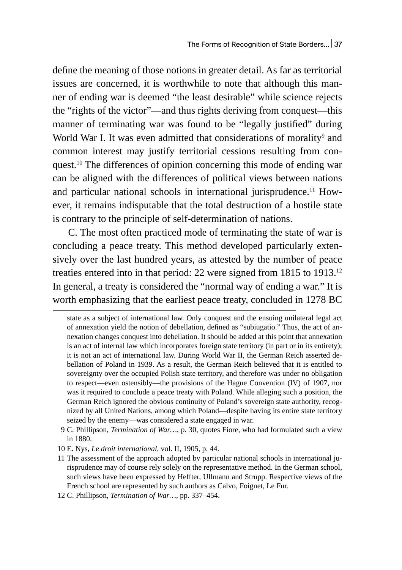define the meaning of those notions in greater detail. As far as territorial issues are concerned, it is worthwhile to note that although this manner of ending war is deemed "the least desirable" while science rejects the "rights of the victor"—and thus rights deriving from conquest—this manner of terminating war was found to be "legally justified" during World War I. It was even admitted that considerations of morality $^9$  and common interest may justify territorial cessions resulting from conquest.<sup>10</sup> The differences of opinion concerning this mode of ending war can be aligned with the differences of political views between nations and particular national schools in international jurisprudence.<sup>11</sup> However, it remains indisputable that the total destruction of a hostile state is contrary to the principle of self-determination of nations.

C. The most often practiced mode of terminating the state of war is concluding a peace treaty. This method developed particularly extensively over the last hundred years, as attested by the number of peace treaties entered into in that period: 22 were signed from 1815 to 1913.<sup>12</sup> In general, a treaty is considered the "normal way of ending a war." It is worth emphasizing that the earliest peace treaty, concluded in 1278 BC

- 9 C. Phillipson, *Termination of War…*, p. 30, quotes Fiore, who had formulated such a view in 1880.
- 10 E. Nys, *Le droit international*, vol. II, 1905, p. 44.
- 11 The assessment of the approach adopted by particular national schools in international jurisprudence may of course rely solely on the representative method. In the German school, such views have been expressed by Heffter, Ullmann and Strupp. Respective views of the French school are represented by such authors as Calvo, Foignet, Le Fur.
- 12 C. Phillipson, *Termination of War…*, pp. 337–454.

state as a subject of international law. Only conquest and the ensuing unilateral legal act of annexation yield the notion of debellation, defined as "subiugatio." Thus, the act of annexation changes conquest into debellation. It should be added at this point that annexation is an act of internal law which incorporates foreign state territory (in part or in its entirety); it is not an act of international law. During World War II, the German Reich asserted debellation of Poland in 1939. As a result, the German Reich believed that it is entitled to sovereignty over the occupied Polish state territory, and therefore was under no obligation to respect—even ostensibly—the provisions of the Hague Convention (IV) of 1907, nor was it required to conclude a peace treaty with Poland. While alleging such a position, the German Reich ignored the obvious continuity of Poland's sovereign state authority, recognized by all United Nations, among which Poland—despite having its entire state territory seized by the enemy—was considered a state engaged in war.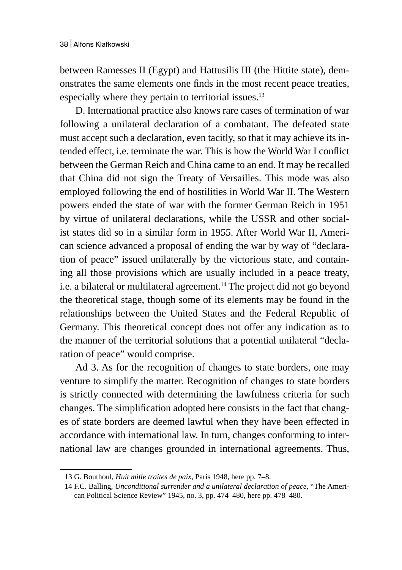between Ramesses II (Egypt) and Hattusilis III (the Hittite state), demonstrates the same elements one finds in the most recent peace treaties, especially where they pertain to territorial issues.<sup>13</sup>

D. International practice also knows rare cases of termination of war following a unilateral declaration of a combatant. The defeated state must accept such a declaration, even tacitly, so that it may achieve its intended effect, i.e. terminate the war. This is how the World War I conflict between the German Reich and China came to an end. It may be recalled that China did not sign the Treaty of Versailles. This mode was also employed following the end of hostilities in World War II. The Western powers ended the state of war with the former German Reich in 1951 by virtue of unilateral declarations, while the USSR and other socialist states did so in a similar form in 1955. After World War II, American science advanced a proposal of ending the war by way of "declaration of peace" issued unilaterally by the victorious state, and containing all those provisions which are usually included in a peace treaty, i.e. a bilateral or multilateral agreement.<sup>14</sup> The project did not go beyond the theoretical stage, though some of its elements may be found in the relationships between the United States and the Federal Republic of Germany. This theoretical concept does not offer any indication as to the manner of the territorial solutions that a potential unilateral "declaration of peace" would comprise.

Ad 3. As for the recognition of changes to state borders, one may venture to simplify the matter. Recognition of changes to state borders is strictly connected with determining the lawfulness criteria for such changes. The simplification adopted here consists in the fact that changes of state borders are deemed lawful when they have been effected in accordance with international law. In turn, changes conforming to international law are changes grounded in international agreements. Thus,

<sup>13</sup> G. Bouthoul, *Huit mille traites de paix*, Paris 1948, here pp. 7–8.

<sup>14</sup> F.C. Balling, *Unconditional surrender and a unilateral declaration of peace*, "The American Political Science Review" 1945, no. 3, pp. 474–480, here pp. 478–480.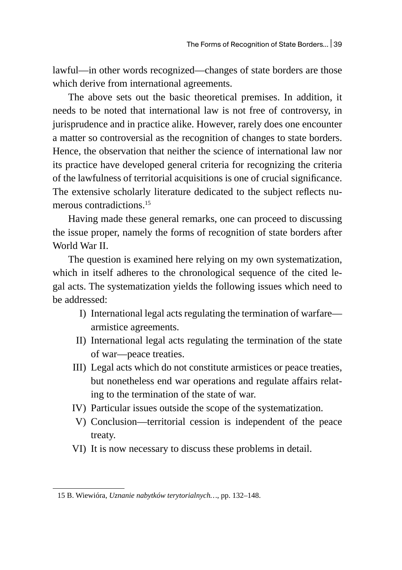lawful—in other words recognized—changes of state borders are those which derive from international agreements.

The above sets out the basic theoretical premises. In addition, it needs to be noted that international law is not free of controversy, in jurisprudence and in practice alike. However, rarely does one encounter a matter so controversial as the recognition of changes to state borders. Hence, the observation that neither the science of international law nor its practice have developed general criteria for recognizing the criteria of the lawfulness of territorial acquisitions is one of crucial significance. The extensive scholarly literature dedicated to the subject reflects numerous contradictions.<sup>15</sup>

Having made these general remarks, one can proceed to discussing the issue proper, namely the forms of recognition of state borders after World War II.

The question is examined here relying on my own systematization, which in itself adheres to the chronological sequence of the cited legal acts. The systematization yields the following issues which need to be addressed:

- I) International legal acts regulating the termination of warfare armistice agreements.
- II) International legal acts regulating the termination of the state of war—peace treaties.
- III) Legal acts which do not constitute armistices or peace treaties, but nonetheless end war operations and regulate affairs relating to the termination of the state of war.
- IV) Particular issues outside the scope of the systematization.
- V) Conclusion—territorial cession is independent of the peace treaty.
- VI) It is now necessary to discuss these problems in detail.

<sup>15</sup> B. Wiewióra, *Uznanie nabytków terytorialnych…*, pp. 132–148.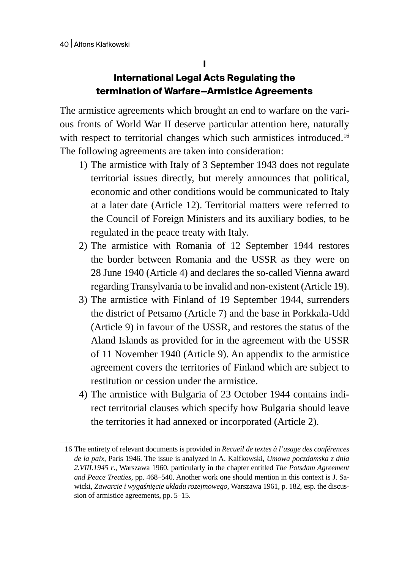**I**

# **International Legal Acts Regulating the termination of Warfare—Armistice Agreements**

The armistice agreements which brought an end to warfare on the various fronts of World War II deserve particular attention here, naturally with respect to territorial changes which such armistices introduced.<sup>16</sup> The following agreements are taken into consideration:

- 1) The armistice with Italy of 3 September 1943 does not regulate territorial issues directly, but merely announces that political, economic and other conditions would be communicated to Italy at a later date (Article 12). Territorial matters were referred to the Council of Foreign Ministers and its auxiliary bodies, to be regulated in the peace treaty with Italy.
- 2) The armistice with Romania of 12 September 1944 restores the border between Romania and the USSR as they were on 28 June 1940 (Article 4) and declares the so-called Vienna award regarding Transylvania to be invalid and non-existent (Article 19).
- 3) The armistice with Finland of 19 September 1944, surrenders the district of Petsamo (Article 7) and the base in Porkkala-Udd (Article 9) in favour of the USSR, and restores the status of the Aland Islands as provided for in the agreement with the USSR of 11 November 1940 (Article 9). An appendix to the armistice agreement covers the territories of Finland which are subject to restitution or cession under the armistice.
- 4) The armistice with Bulgaria of 23 October 1944 contains indirect territorial clauses which specify how Bulgaria should leave the territories it had annexed or incorporated (Article 2).

<sup>16</sup> The entirety of relevant documents is provided in *Recueil de textes à l'usage des conférences de la paix*, Paris 1946. The issue is analyzed in A. Kalfkowski, *Umowa poczdamska z dnia 2.VIII.1945 r*., Warszawa 1960, particularly in the chapter entitled *The Potsdam Agreement and Peace Treaties,* pp. 468–540. Another work one should mention in this context is J. Sawicki, *Zawarcie i wygaśnięcie układu rozejmowego*, Warszawa 1961, p. 182, esp. the discussion of armistice agreements, pp. 5–15.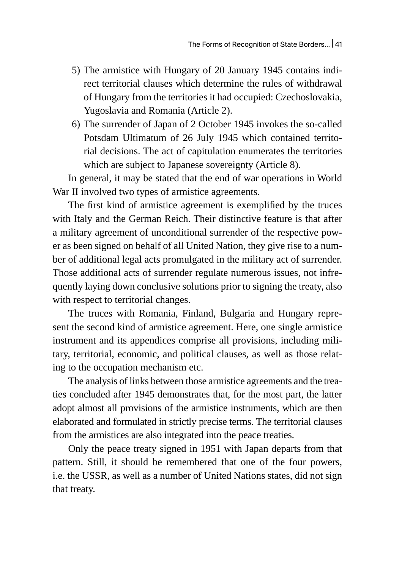- 5) The armistice with Hungary of 20 January 1945 contains indirect territorial clauses which determine the rules of withdrawal of Hungary from the territories it had occupied: Czechoslovakia, Yugoslavia and Romania (Article 2).
- 6) The surrender of Japan of 2 October 1945 invokes the so-called Potsdam Ultimatum of 26 July 1945 which contained territorial decisions. The act of capitulation enumerates the territories which are subject to Japanese sovereignty (Article 8).

In general, it may be stated that the end of war operations in World War II involved two types of armistice agreements.

The first kind of armistice agreement is exemplified by the truces with Italy and the German Reich. Their distinctive feature is that after a military agreement of unconditional surrender of the respective power as been signed on behalf of all United Nation, they give rise to a number of additional legal acts promulgated in the military act of surrender. Those additional acts of surrender regulate numerous issues, not infrequently laying down conclusive solutions prior to signing the treaty, also with respect to territorial changes.

The truces with Romania, Finland, Bulgaria and Hungary represent the second kind of armistice agreement. Here, one single armistice instrument and its appendices comprise all provisions, including military, territorial, economic, and political clauses, as well as those relating to the occupation mechanism etc.

The analysis of links between those armistice agreements and the treaties concluded after 1945 demonstrates that, for the most part, the latter adopt almost all provisions of the armistice instruments, which are then elaborated and formulated in strictly precise terms. The territorial clauses from the armistices are also integrated into the peace treaties.

Only the peace treaty signed in 1951 with Japan departs from that pattern. Still, it should be remembered that one of the four powers, i.e. the USSR, as well as a number of United Nations states, did not sign that treaty.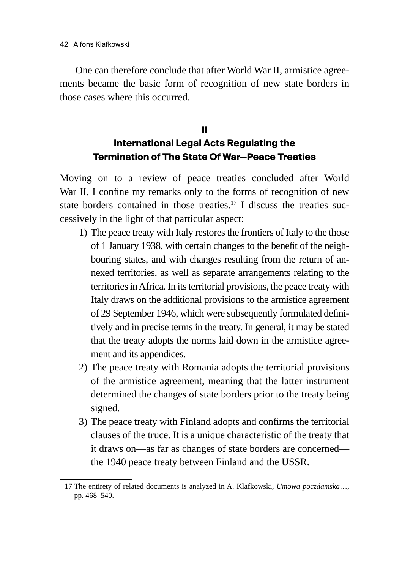One can therefore conclude that after World War II, armistice agreements became the basic form of recognition of new state borders in those cases where this occurred.

#### **II**

## **International Legal Acts Regulating the Termination of The State Of War—Peace Treaties**

Moving on to a review of peace treaties concluded after World War II, I confine my remarks only to the forms of recognition of new state borders contained in those treaties.<sup>17</sup> I discuss the treaties successively in the light of that particular aspect:

- 1) The peace treaty with Italy restores the frontiers of Italy to the those of 1 January 1938, with certain changes to the benefit of the neighbouring states, and with changes resulting from the return of annexed territories, as well as separate arrangements relating to the territories in Africa. In its territorial provisions, the peace treaty with Italy draws on the additional provisions to the armistice agreement of 29 September 1946, which were subsequently formulated definitively and in precise terms in the treaty. In general, it may be stated that the treaty adopts the norms laid down in the armistice agreement and its appendices.
- 2) The peace treaty with Romania adopts the territorial provisions of the armistice agreement, meaning that the latter instrument determined the changes of state borders prior to the treaty being signed.
- 3) The peace treaty with Finland adopts and confirms the territorial clauses of the truce. It is a unique characteristic of the treaty that it draws on—as far as changes of state borders are concerned the 1940 peace treaty between Finland and the USSR.

<sup>17</sup> The entirety of related documents is analyzed in A. Klafkowski, *Umowa poczdamska*…, pp. 468–540.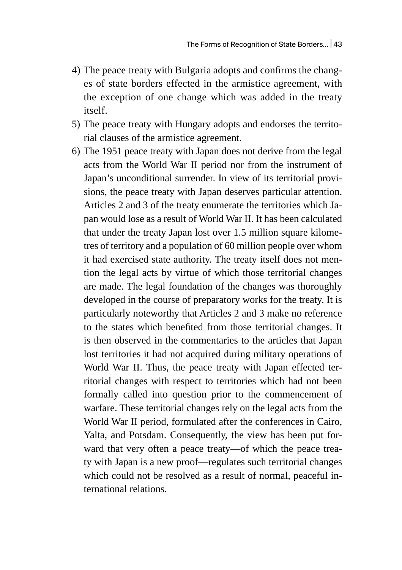- 4) The peace treaty with Bulgaria adopts and confirms the changes of state borders effected in the armistice agreement, with the exception of one change which was added in the treaty itself.
- 5) The peace treaty with Hungary adopts and endorses the territorial clauses of the armistice agreement.
- 6) The 1951 peace treaty with Japan does not derive from the legal acts from the World War II period nor from the instrument of Japan's unconditional surrender. In view of its territorial provisions, the peace treaty with Japan deserves particular attention. Articles 2 and 3 of the treaty enumerate the territories which Japan would lose as a result of World War II. It has been calculated that under the treaty Japan lost over 1.5 million square kilometres of territory and a population of 60 million people over whom it had exercised state authority. The treaty itself does not mention the legal acts by virtue of which those territorial changes are made. The legal foundation of the changes was thoroughly developed in the course of preparatory works for the treaty. It is particularly noteworthy that Articles 2 and 3 make no reference to the states which benefited from those territorial changes. It is then observed in the commentaries to the articles that Japan lost territories it had not acquired during military operations of World War II. Thus, the peace treaty with Japan effected territorial changes with respect to territories which had not been formally called into question prior to the commencement of warfare. These territorial changes rely on the legal acts from the World War II period, formulated after the conferences in Cairo, Yalta, and Potsdam. Consequently, the view has been put forward that very often a peace treaty—of which the peace treaty with Japan is a new proof—regulates such territorial changes which could not be resolved as a result of normal, peaceful international relations.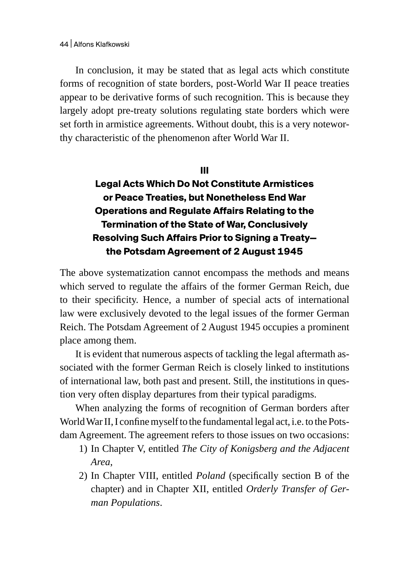In conclusion, it may be stated that as legal acts which constitute forms of recognition of state borders, post-World War II peace treaties appear to be derivative forms of such recognition. This is because they largely adopt pre-treaty solutions regulating state borders which were set forth in armistice agreements. Without doubt, this is a very noteworthy characteristic of the phenomenon after World War II.

#### **III**

# **Legal Acts Which Do Not Constitute Armistices or Peace Treaties, but Nonetheless End War Operations and Regulate Affairs Relating to the Termination of the State of War, Conclusively Resolving Such Affairs Prior to Signing a Treaty the Potsdam Agreement of 2 August 1945**

The above systematization cannot encompass the methods and means which served to regulate the affairs of the former German Reich, due to their specificity. Hence, a number of special acts of international law were exclusively devoted to the legal issues of the former German Reich. The Potsdam Agreement of 2 August 1945 occupies a prominent place among them.

It is evident that numerous aspects of tackling the legal aftermath associated with the former German Reich is closely linked to institutions of international law, both past and present. Still, the institutions in question very often display departures from their typical paradigms.

When analyzing the forms of recognition of German borders after World War II, I confine myself to the fundamental legal act, *i.e.* to the Potsdam Agreement. The agreement refers to those issues on two occasions:

- 1) In Chapter V, entitled *The City of Konigsberg and the Adjacent Area*,
- 2) In Chapter VIII, entitled *Poland* (specifically section B of the chapter) and in Chapter XII, entitled *Orderly Transfer of German Populations*.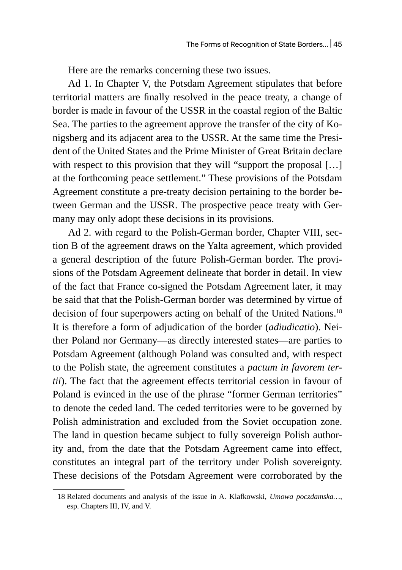Here are the remarks concerning these two issues.

Ad 1. In Chapter V, the Potsdam Agreement stipulates that before territorial matters are finally resolved in the peace treaty, a change of border is made in favour of the USSR in the coastal region of the Baltic Sea. The parties to the agreement approve the transfer of the city of Konigsberg and its adjacent area to the USSR. At the same time the President of the United States and the Prime Minister of Great Britain declare with respect to this provision that they will "support the proposal [...] at the forthcoming peace settlement." These provisions of the Potsdam Agreement constitute a pre-treaty decision pertaining to the border between German and the USSR. The prospective peace treaty with Germany may only adopt these decisions in its provisions.

Ad 2. with regard to the Polish-German border, Chapter VIII, section B of the agreement draws on the Yalta agreement, which provided a general description of the future Polish-German border. The provisions of the Potsdam Agreement delineate that border in detail. In view of the fact that France co-signed the Potsdam Agreement later, it may be said that that the Polish-German border was determined by virtue of decision of four superpowers acting on behalf of the United Nations.<sup>18</sup> It is therefore a form of adjudication of the border (*adiudicatio*). Neither Poland nor Germany—as directly interested states—are parties to Potsdam Agreement (although Poland was consulted and, with respect to the Polish state, the agreement constitutes a *pactum in favorem tertii*). The fact that the agreement effects territorial cession in favour of Poland is evinced in the use of the phrase "former German territories" to denote the ceded land. The ceded territories were to be governed by Polish administration and excluded from the Soviet occupation zone. The land in question became subject to fully sovereign Polish authority and, from the date that the Potsdam Agreement came into effect, constitutes an integral part of the territory under Polish sovereignty. These decisions of the Potsdam Agreement were corroborated by the

<sup>18</sup> Related documents and analysis of the issue in A. Klafkowski, *Umowa poczdamska…*, esp. Chapters III, IV, and V.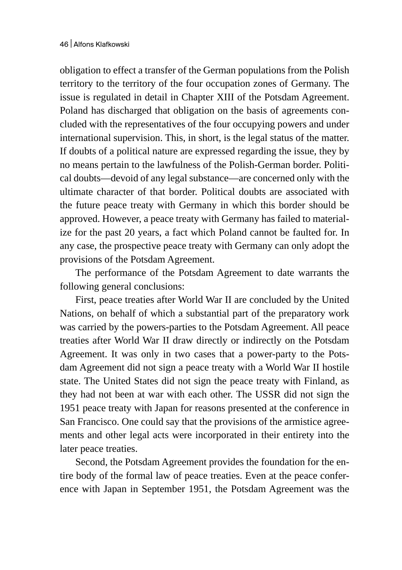obligation to effect a transfer of the German populations from the Polish territory to the territory of the four occupation zones of Germany. The issue is regulated in detail in Chapter XIII of the Potsdam Agreement. Poland has discharged that obligation on the basis of agreements concluded with the representatives of the four occupying powers and under international supervision. This, in short, is the legal status of the matter. If doubts of a political nature are expressed regarding the issue, they by no means pertain to the lawfulness of the Polish-German border. Political doubts—devoid of any legal substance—are concerned only with the ultimate character of that border. Political doubts are associated with the future peace treaty with Germany in which this border should be approved. However, a peace treaty with Germany has failed to materialize for the past 20 years, a fact which Poland cannot be faulted for. In any case, the prospective peace treaty with Germany can only adopt the provisions of the Potsdam Agreement.

The performance of the Potsdam Agreement to date warrants the following general conclusions:

First, peace treaties after World War II are concluded by the United Nations, on behalf of which a substantial part of the preparatory work was carried by the powers-parties to the Potsdam Agreement. All peace treaties after World War II draw directly or indirectly on the Potsdam Agreement. It was only in two cases that a power-party to the Potsdam Agreement did not sign a peace treaty with a World War II hostile state. The United States did not sign the peace treaty with Finland, as they had not been at war with each other. The USSR did not sign the 1951 peace treaty with Japan for reasons presented at the conference in San Francisco. One could say that the provisions of the armistice agreements and other legal acts were incorporated in their entirety into the later peace treaties.

Second, the Potsdam Agreement provides the foundation for the entire body of the formal law of peace treaties. Even at the peace conference with Japan in September 1951, the Potsdam Agreement was the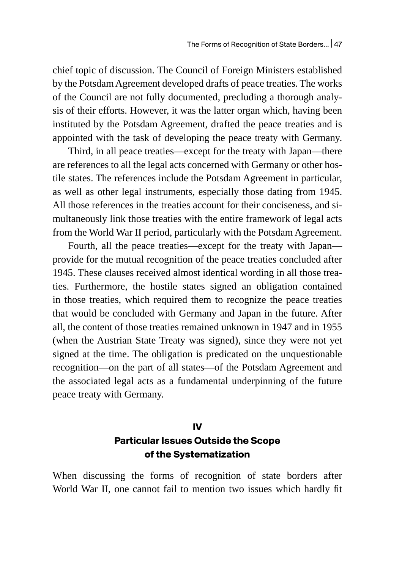chief topic of discussion. The Council of Foreign Ministers established by the Potsdam Agreement developed drafts of peace treaties. The works of the Council are not fully documented, precluding a thorough analysis of their efforts. However, it was the latter organ which, having been instituted by the Potsdam Agreement, drafted the peace treaties and is appointed with the task of developing the peace treaty with Germany.

Third, in all peace treaties—except for the treaty with Japan—there are references to all the legal acts concerned with Germany or other hostile states. The references include the Potsdam Agreement in particular, as well as other legal instruments, especially those dating from 1945. All those references in the treaties account for their conciseness, and simultaneously link those treaties with the entire framework of legal acts from the World War II period, particularly with the Potsdam Agreement.

Fourth, all the peace treaties—except for the treaty with Japan provide for the mutual recognition of the peace treaties concluded after 1945. These clauses received almost identical wording in all those treaties. Furthermore, the hostile states signed an obligation contained in those treaties, which required them to recognize the peace treaties that would be concluded with Germany and Japan in the future. After all, the content of those treaties remained unknown in 1947 and in 1955 (when the Austrian State Treaty was signed), since they were not yet signed at the time. The obligation is predicated on the unquestionable recognition—on the part of all states—of the Potsdam Agreement and the associated legal acts as a fundamental underpinning of the future peace treaty with Germany.

#### **IV Particular Issues Outside the Scope of the Systematization**

When discussing the forms of recognition of state borders after World War II, one cannot fail to mention two issues which hardly fit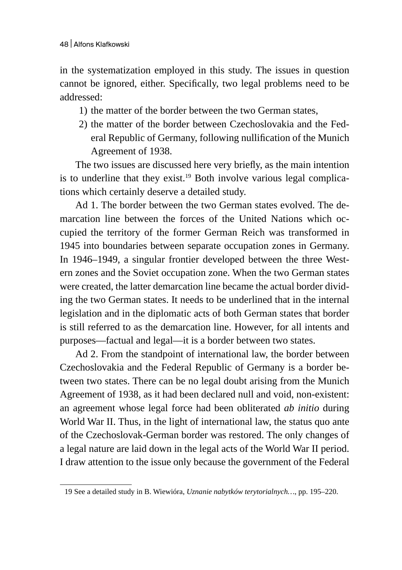in the systematization employed in this study. The issues in question cannot be ignored, either. Specifically, two legal problems need to be addressed:

- 1) the matter of the border between the two German states,
- 2) the matter of the border between Czechoslovakia and the Federal Republic of Germany, following nullification of the Munich Agreement of 1938.

The two issues are discussed here very briefly, as the main intention is to underline that they exist.<sup>19</sup> Both involve various legal complications which certainly deserve a detailed study.

Ad 1. The border between the two German states evolved. The demarcation line between the forces of the United Nations which occupied the territory of the former German Reich was transformed in 1945 into boundaries between separate occupation zones in Germany. In 1946–1949, a singular frontier developed between the three Western zones and the Soviet occupation zone. When the two German states were created, the latter demarcation line became the actual border dividing the two German states. It needs to be underlined that in the internal legislation and in the diplomatic acts of both German states that border is still referred to as the demarcation line. However, for all intents and purposes—factual and legal—it is a border between two states.

Ad 2. From the standpoint of international law, the border between Czechoslovakia and the Federal Republic of Germany is a border between two states. There can be no legal doubt arising from the Munich Agreement of 1938, as it had been declared null and void, non-existent: an agreement whose legal force had been obliterated *ab initio* during World War II. Thus, in the light of international law, the status quo ante of the Czechoslovak-German border was restored. The only changes of a legal nature are laid down in the legal acts of the World War II period. I draw attention to the issue only because the government of the Federal

<sup>19</sup> See a detailed study in B. Wiewióra, *Uznanie nabytków terytorialnych…*, pp. 195–220.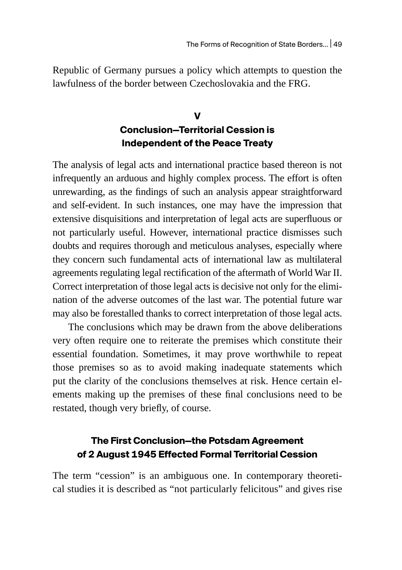Republic of Germany pursues a policy which attempts to question the lawfulness of the border between Czechoslovakia and the FRG.

## **V Conclusion—Territorial Cession is Independent of the Peace Treaty**

The analysis of legal acts and international practice based thereon is not infrequently an arduous and highly complex process. The effort is often unrewarding, as the findings of such an analysis appear straightforward and self-evident. In such instances, one may have the impression that extensive disquisitions and interpretation of legal acts are superfluous or not particularly useful. However, international practice dismisses such doubts and requires thorough and meticulous analyses, especially where they concern such fundamental acts of international law as multilateral agreements regulating legal rectification of the aftermath of World War II. Correct interpretation of those legal acts is decisive not only for the elimination of the adverse outcomes of the last war. The potential future war may also be forestalled thanks to correct interpretation of those legal acts.

The conclusions which may be drawn from the above deliberations very often require one to reiterate the premises which constitute their essential foundation. Sometimes, it may prove worthwhile to repeat those premises so as to avoid making inadequate statements which put the clarity of the conclusions themselves at risk. Hence certain elements making up the premises of these final conclusions need to be restated, though very briefly, of course.

### **The First Conclusion—the Potsdam Agreement of 2 August 1945 Effected Formal Territorial Cession**

The term "cession" is an ambiguous one. In contemporary theoretical studies it is described as "not particularly felicitous" and gives rise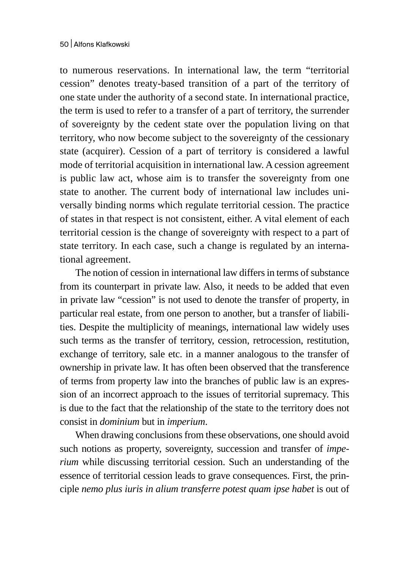to numerous reservations. In international law, the term "territorial cession" denotes treaty-based transition of a part of the territory of one state under the authority of a second state. In international practice, the term is used to refer to a transfer of a part of territory, the surrender of sovereignty by the cedent state over the population living on that territory, who now become subject to the sovereignty of the cessionary state (acquirer). Cession of a part of territory is considered a lawful mode of territorial acquisition in international law. A cession agreement is public law act, whose aim is to transfer the sovereignty from one state to another. The current body of international law includes universally binding norms which regulate territorial cession. The practice of states in that respect is not consistent, either. A vital element of each territorial cession is the change of sovereignty with respect to a part of state territory. In each case, such a change is regulated by an international agreement.

The notion of cession in international law differs in terms of substance from its counterpart in private law. Also, it needs to be added that even in private law "cession" is not used to denote the transfer of property, in particular real estate, from one person to another, but a transfer of liabilities. Despite the multiplicity of meanings, international law widely uses such terms as the transfer of territory, cession, retrocession, restitution, exchange of territory, sale etc. in a manner analogous to the transfer of ownership in private law. It has often been observed that the transference of terms from property law into the branches of public law is an expression of an incorrect approach to the issues of territorial supremacy. This is due to the fact that the relationship of the state to the territory does not consist in *dominium* but in *imperium*.

When drawing conclusions from these observations, one should avoid such notions as property, sovereignty, succession and transfer of *imperium* while discussing territorial cession. Such an understanding of the essence of territorial cession leads to grave consequences. First, the principle *nemo plus iuris in alium transferre potest quam ipse habet* is out of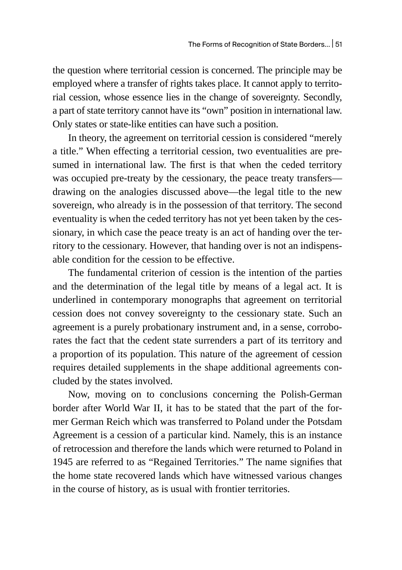the question where territorial cession is concerned. The principle may be employed where a transfer of rights takes place. It cannot apply to territorial cession, whose essence lies in the change of sovereignty. Secondly, a part of state territory cannot have its "own" position in international law. Only states or state-like entities can have such a position.

In theory, the agreement on territorial cession is considered "merely a title." When effecting a territorial cession, two eventualities are presumed in international law. The first is that when the ceded territory was occupied pre-treaty by the cessionary, the peace treaty transfers drawing on the analogies discussed above—the legal title to the new sovereign, who already is in the possession of that territory. The second eventuality is when the ceded territory has not yet been taken by the cessionary, in which case the peace treaty is an act of handing over the territory to the cessionary. However, that handing over is not an indispensable condition for the cession to be effective.

The fundamental criterion of cession is the intention of the parties and the determination of the legal title by means of a legal act. It is underlined in contemporary monographs that agreement on territorial cession does not convey sovereignty to the cessionary state. Such an agreement is a purely probationary instrument and, in a sense, corroborates the fact that the cedent state surrenders a part of its territory and a proportion of its population. This nature of the agreement of cession requires detailed supplements in the shape additional agreements concluded by the states involved.

Now, moving on to conclusions concerning the Polish-German border after World War II, it has to be stated that the part of the former German Reich which was transferred to Poland under the Potsdam Agreement is a cession of a particular kind. Namely, this is an instance of retrocession and therefore the lands which were returned to Poland in 1945 are referred to as "Regained Territories." The name signifies that the home state recovered lands which have witnessed various changes in the course of history, as is usual with frontier territories.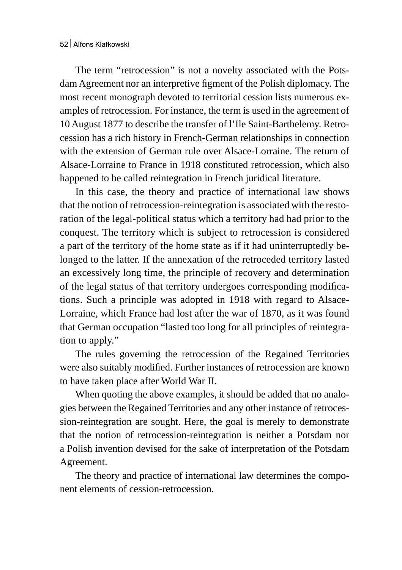The term "retrocession" is not a novelty associated with the Potsdam Agreement nor an interpretive figment of the Polish diplomacy. The most recent monograph devoted to territorial cession lists numerous examples of retrocession. For instance, the term is used in the agreement of 10 August 1877 to describe the transfer of l'Ile Saint-Barthelemy. Retrocession has a rich history in French-German relationships in connection with the extension of German rule over Alsace-Lorraine. The return of Alsace-Lorraine to France in 1918 constituted retrocession, which also happened to be called reintegration in French juridical literature.

In this case, the theory and practice of international law shows that the notion of retrocession-reintegration is associated with the restoration of the legal-political status which a territory had had prior to the conquest. The territory which is subject to retrocession is considered a part of the territory of the home state as if it had uninterruptedly belonged to the latter. If the annexation of the retroceded territory lasted an excessively long time, the principle of recovery and determination of the legal status of that territory undergoes corresponding modifications. Such a principle was adopted in 1918 with regard to Alsace-Lorraine, which France had lost after the war of 1870, as it was found that German occupation "lasted too long for all principles of reintegration to apply."

The rules governing the retrocession of the Regained Territories were also suitably modified. Further instances of retrocession are known to have taken place after World War II.

When quoting the above examples, it should be added that no analogies between the Regained Territories and any other instance of retrocession-reintegration are sought. Here, the goal is merely to demonstrate that the notion of retrocession-reintegration is neither a Potsdam nor a Polish invention devised for the sake of interpretation of the Potsdam Agreement.

The theory and practice of international law determines the component elements of cession-retrocession.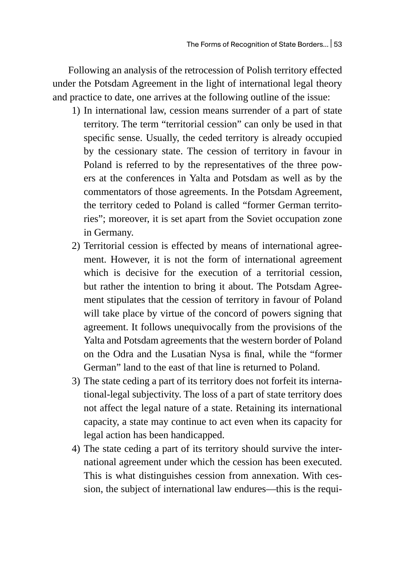Following an analysis of the retrocession of Polish territory effected under the Potsdam Agreement in the light of international legal theory and practice to date, one arrives at the following outline of the issue:

- 1) In international law, cession means surrender of a part of state territory. The term "territorial cession" can only be used in that specific sense. Usually, the ceded territory is already occupied by the cessionary state. The cession of territory in favour in Poland is referred to by the representatives of the three powers at the conferences in Yalta and Potsdam as well as by the commentators of those agreements. In the Potsdam Agreement, the territory ceded to Poland is called "former German territories"; moreover, it is set apart from the Soviet occupation zone in Germany.
- 2) Territorial cession is effected by means of international agreement. However, it is not the form of international agreement which is decisive for the execution of a territorial cession, but rather the intention to bring it about. The Potsdam Agreement stipulates that the cession of territory in favour of Poland will take place by virtue of the concord of powers signing that agreement. It follows unequivocally from the provisions of the Yalta and Potsdam agreements that the western border of Poland on the Odra and the Lusatian Nysa is final, while the "former German" land to the east of that line is returned to Poland.
- 3) The state ceding a part of its territory does not forfeit its international-legal subjectivity. The loss of a part of state territory does not affect the legal nature of a state. Retaining its international capacity, a state may continue to act even when its capacity for legal action has been handicapped.
- 4) The state ceding a part of its territory should survive the international agreement under which the cession has been executed. This is what distinguishes cession from annexation. With cession, the subject of international law endures—this is the requi-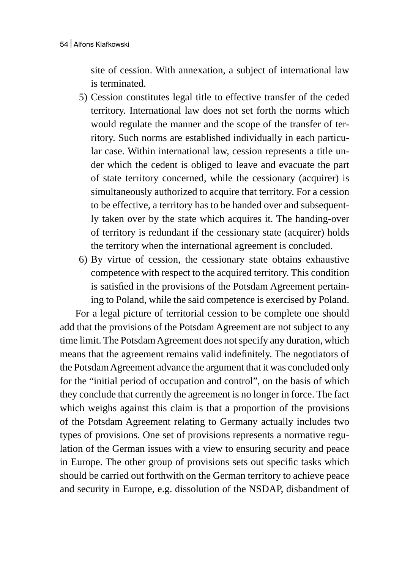site of cession. With annexation, a subject of international law is terminated.

- 5) Cession constitutes legal title to effective transfer of the ceded territory. International law does not set forth the norms which would regulate the manner and the scope of the transfer of territory. Such norms are established individually in each particular case. Within international law, cession represents a title under which the cedent is obliged to leave and evacuate the part of state territory concerned, while the cessionary (acquirer) is simultaneously authorized to acquire that territory. For a cession to be effective, a territory has to be handed over and subsequently taken over by the state which acquires it. The handing-over of territory is redundant if the cessionary state (acquirer) holds the territory when the international agreement is concluded.
- 6) By virtue of cession, the cessionary state obtains exhaustive competence with respect to the acquired territory. This condition is satisfied in the provisions of the Potsdam Agreement pertaining to Poland, while the said competence is exercised by Poland.

For a legal picture of territorial cession to be complete one should add that the provisions of the Potsdam Agreement are not subject to any time limit. The Potsdam Agreement does not specify any duration, which means that the agreement remains valid indefinitely. The negotiators of the Potsdam Agreement advance the argument that it was concluded only for the "initial period of occupation and control", on the basis of which they conclude that currently the agreement is no longer in force. The fact which weighs against this claim is that a proportion of the provisions of the Potsdam Agreement relating to Germany actually includes two types of provisions. One set of provisions represents a normative regulation of the German issues with a view to ensuring security and peace in Europe. The other group of provisions sets out specific tasks which should be carried out forthwith on the German territory to achieve peace and security in Europe, e.g. dissolution of the NSDAP, disbandment of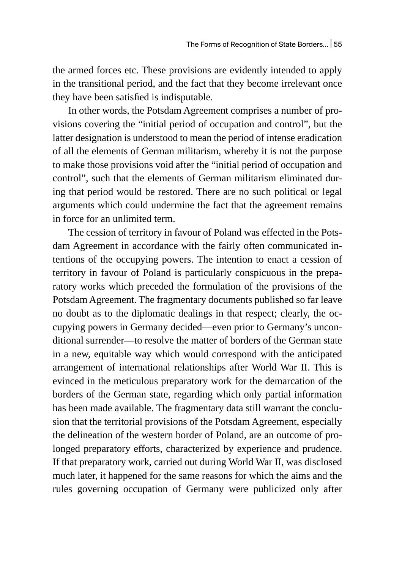the armed forces etc. These provisions are evidently intended to apply in the transitional period, and the fact that they become irrelevant once they have been satisfied is indisputable.

In other words, the Potsdam Agreement comprises a number of provisions covering the "initial period of occupation and control", but the latter designation is understood to mean the period of intense eradication of all the elements of German militarism, whereby it is not the purpose to make those provisions void after the "initial period of occupation and control", such that the elements of German militarism eliminated during that period would be restored. There are no such political or legal arguments which could undermine the fact that the agreement remains in force for an unlimited term.

The cession of territory in favour of Poland was effected in the Potsdam Agreement in accordance with the fairly often communicated intentions of the occupying powers. The intention to enact a cession of territory in favour of Poland is particularly conspicuous in the preparatory works which preceded the formulation of the provisions of the Potsdam Agreement. The fragmentary documents published so far leave no doubt as to the diplomatic dealings in that respect; clearly, the occupying powers in Germany decided—even prior to Germany's unconditional surrender—to resolve the matter of borders of the German state in a new, equitable way which would correspond with the anticipated arrangement of international relationships after World War II. This is evinced in the meticulous preparatory work for the demarcation of the borders of the German state, regarding which only partial information has been made available. The fragmentary data still warrant the conclusion that the territorial provisions of the Potsdam Agreement, especially the delineation of the western border of Poland, are an outcome of prolonged preparatory efforts, characterized by experience and prudence. If that preparatory work, carried out during World War II, was disclosed much later, it happened for the same reasons for which the aims and the rules governing occupation of Germany were publicized only after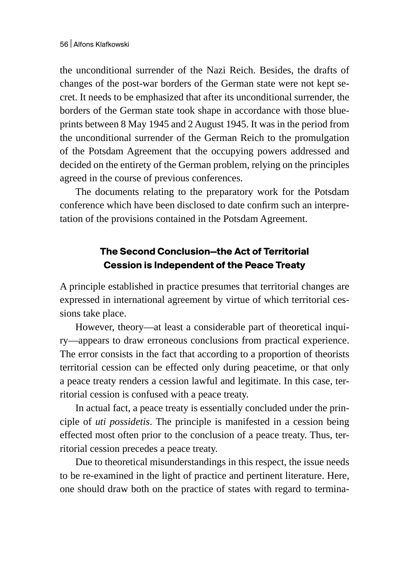the unconditional surrender of the Nazi Reich. Besides, the drafts of changes of the post-war borders of the German state were not kept secret. It needs to be emphasized that after its unconditional surrender, the borders of the German state took shape in accordance with those blueprints between 8 May 1945 and 2 August 1945. It was in the period from the unconditional surrender of the German Reich to the promulgation of the Potsdam Agreement that the occupying powers addressed and decided on the entirety of the German problem, relying on the principles agreed in the course of previous conferences.

The documents relating to the preparatory work for the Potsdam conference which have been disclosed to date confirm such an interpretation of the provisions contained in the Potsdam Agreement.

# **The Second Conclusion—the Act of Territorial Cession is Independent of the Peace Treaty**

A principle established in practice presumes that territorial changes are expressed in international agreement by virtue of which territorial cessions take place.

However, theory—at least a considerable part of theoretical inquiry—appears to draw erroneous conclusions from practical experience. The error consists in the fact that according to a proportion of theorists territorial cession can be effected only during peacetime, or that only a peace treaty renders a cession lawful and legitimate. In this case, territorial cession is confused with a peace treaty.

In actual fact, a peace treaty is essentially concluded under the principle of *uti possidetis*. The principle is manifested in a cession being effected most often prior to the conclusion of a peace treaty. Thus, territorial cession precedes a peace treaty.

Due to theoretical misunderstandings in this respect, the issue needs to be re-examined in the light of practice and pertinent literature. Here, one should draw both on the practice of states with regard to termina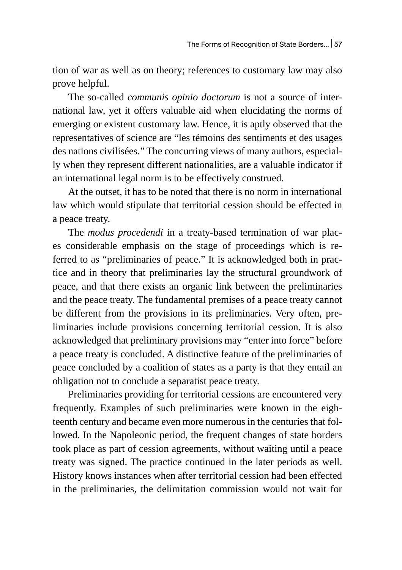tion of war as well as on theory; references to customary law may also prove helpful.

The so-called *communis opinio doctorum* is not a source of international law, yet it offers valuable aid when elucidating the norms of emerging or existent customary law. Hence, it is aptly observed that the representatives of science are "les témoins des sentiments et des usages des nations civilisées." The concurring views of many authors, especially when they represent different nationalities, are a valuable indicator if an international legal norm is to be effectively construed.

At the outset, it has to be noted that there is no norm in international law which would stipulate that territorial cession should be effected in a peace treaty.

The *modus procedendi* in a treaty-based termination of war places considerable emphasis on the stage of proceedings which is referred to as "preliminaries of peace." It is acknowledged both in practice and in theory that preliminaries lay the structural groundwork of peace, and that there exists an organic link between the preliminaries and the peace treaty. The fundamental premises of a peace treaty cannot be different from the provisions in its preliminaries. Very often, preliminaries include provisions concerning territorial cession. It is also acknowledged that preliminary provisions may "enter into force" before a peace treaty is concluded. A distinctive feature of the preliminaries of peace concluded by a coalition of states as a party is that they entail an obligation not to conclude a separatist peace treaty.

Preliminaries providing for territorial cessions are encountered very frequently. Examples of such preliminaries were known in the eighteenth century and became even more numerous in the centuries that followed. In the Napoleonic period, the frequent changes of state borders took place as part of cession agreements, without waiting until a peace treaty was signed. The practice continued in the later periods as well. History knows instances when after territorial cession had been effected in the preliminaries, the delimitation commission would not wait for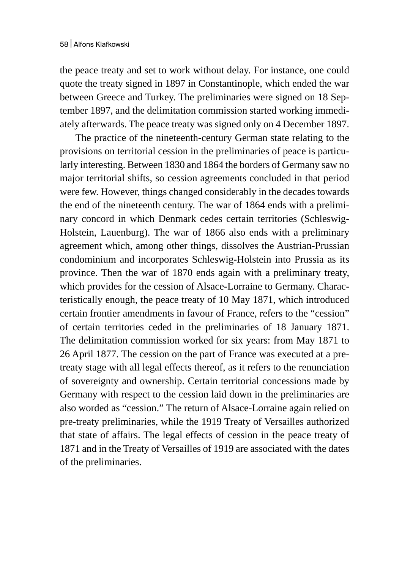the peace treaty and set to work without delay. For instance, one could quote the treaty signed in 1897 in Constantinople, which ended the war between Greece and Turkey. The preliminaries were signed on 18 September 1897, and the delimitation commission started working immediately afterwards. The peace treaty was signed only on 4 December 1897.

The practice of the nineteenth-century German state relating to the provisions on territorial cession in the preliminaries of peace is particularly interesting. Between 1830 and 1864 the borders of Germany saw no major territorial shifts, so cession agreements concluded in that period were few. However, things changed considerably in the decades towards the end of the nineteenth century. The war of 1864 ends with a preliminary concord in which Denmark cedes certain territories (Schleswig-Holstein, Lauenburg). The war of 1866 also ends with a preliminary agreement which, among other things, dissolves the Austrian-Prussian condominium and incorporates Schleswig-Holstein into Prussia as its province. Then the war of 1870 ends again with a preliminary treaty, which provides for the cession of Alsace-Lorraine to Germany. Characteristically enough, the peace treaty of 10 May 1871, which introduced certain frontier amendments in favour of France, refers to the "cession" of certain territories ceded in the preliminaries of 18 January 1871. The delimitation commission worked for six years: from May 1871 to 26 April 1877. The cession on the part of France was executed at a pretreaty stage with all legal effects thereof, as it refers to the renunciation of sovereignty and ownership. Certain territorial concessions made by Germany with respect to the cession laid down in the preliminaries are also worded as "cession." The return of Alsace-Lorraine again relied on pre-treaty preliminaries, while the 1919 Treaty of Versailles authorized that state of affairs. The legal effects of cession in the peace treaty of 1871 and in the Treaty of Versailles of 1919 are associated with the dates of the preliminaries.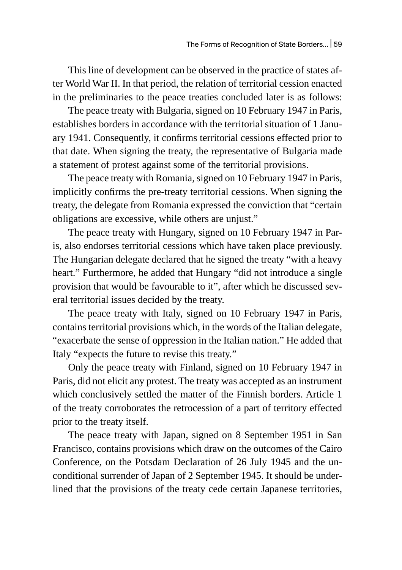This line of development can be observed in the practice of states after World War II. In that period, the relation of territorial cession enacted in the preliminaries to the peace treaties concluded later is as follows:

The peace treaty with Bulgaria, signed on 10 February 1947 in Paris, establishes borders in accordance with the territorial situation of 1 January 1941. Consequently, it confirms territorial cessions effected prior to that date. When signing the treaty, the representative of Bulgaria made a statement of protest against some of the territorial provisions.

The peace treaty with Romania, signed on 10 February 1947 in Paris, implicitly confirms the pre-treaty territorial cessions. When signing the treaty, the delegate from Romania expressed the conviction that "certain obligations are excessive, while others are unjust."

The peace treaty with Hungary, signed on 10 February 1947 in Paris, also endorses territorial cessions which have taken place previously. The Hungarian delegate declared that he signed the treaty "with a heavy heart." Furthermore, he added that Hungary "did not introduce a single provision that would be favourable to it", after which he discussed several territorial issues decided by the treaty.

The peace treaty with Italy, signed on 10 February 1947 in Paris, contains territorial provisions which, in the words of the Italian delegate, "exacerbate the sense of oppression in the Italian nation." He added that Italy "expects the future to revise this treaty."

Only the peace treaty with Finland, signed on 10 February 1947 in Paris, did not elicit any protest. The treaty was accepted as an instrument which conclusively settled the matter of the Finnish borders. Article 1 of the treaty corroborates the retrocession of a part of territory effected prior to the treaty itself.

The peace treaty with Japan, signed on 8 September 1951 in San Francisco, contains provisions which draw on the outcomes of the Cairo Conference, on the Potsdam Declaration of 26 July 1945 and the unconditional surrender of Japan of 2 September 1945. It should be underlined that the provisions of the treaty cede certain Japanese territories,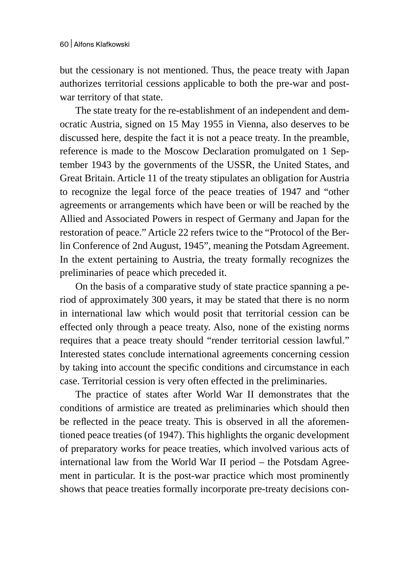but the cessionary is not mentioned. Thus, the peace treaty with Japan authorizes territorial cessions applicable to both the pre-war and postwar territory of that state.

The state treaty for the re-establishment of an independent and democratic Austria, signed on 15 May 1955 in Vienna, also deserves to be discussed here, despite the fact it is not a peace treaty. In the preamble, reference is made to the Moscow Declaration promulgated on 1 September 1943 by the governments of the USSR, the United States, and Great Britain. Article 11 of the treaty stipulates an obligation for Austria to recognize the legal force of the peace treaties of 1947 and "other agreements or arrangements which have been or will be reached by the Allied and Associated Powers in respect of Germany and Japan for the restoration of peace." Article 22 refers twice to the "Protocol of the Berlin Conference of 2nd August, 1945", meaning the Potsdam Agreement. In the extent pertaining to Austria, the treaty formally recognizes the preliminaries of peace which preceded it.

On the basis of a comparative study of state practice spanning a period of approximately 300 years, it may be stated that there is no norm in international law which would posit that territorial cession can be effected only through a peace treaty. Also, none of the existing norms requires that a peace treaty should "render territorial cession lawful." Interested states conclude international agreements concerning cession by taking into account the specific conditions and circumstance in each case. Territorial cession is very often effected in the preliminaries.

The practice of states after World War II demonstrates that the conditions of armistice are treated as preliminaries which should then be reflected in the peace treaty. This is observed in all the aforementioned peace treaties (of 1947). This highlights the organic development of preparatory works for peace treaties, which involved various acts of international law from the World War II period – the Potsdam Agreement in particular. It is the post-war practice which most prominently shows that peace treaties formally incorporate pre-treaty decisions con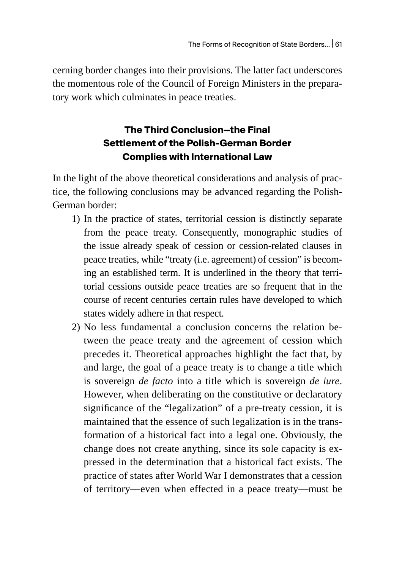cerning border changes into their provisions. The latter fact underscores the momentous role of the Council of Foreign Ministers in the preparatory work which culminates in peace treaties.

# **The Third Conclusion—the Final Settlement of the Polish-German Border Complies with International Law**

In the light of the above theoretical considerations and analysis of practice, the following conclusions may be advanced regarding the Polish-German border:

- 1) In the practice of states, territorial cession is distinctly separate from the peace treaty. Consequently, monographic studies of the issue already speak of cession or cession-related clauses in peace treaties, while "treaty (i.e. agreement) of cession" is becoming an established term. It is underlined in the theory that territorial cessions outside peace treaties are so frequent that in the course of recent centuries certain rules have developed to which states widely adhere in that respect.
- 2) No less fundamental a conclusion concerns the relation between the peace treaty and the agreement of cession which precedes it. Theoretical approaches highlight the fact that, by and large, the goal of a peace treaty is to change a title which is sovereign *de facto* into a title which is sovereign *de iure*. However, when deliberating on the constitutive or declaratory significance of the "legalization" of a pre-treaty cession, it is maintained that the essence of such legalization is in the transformation of a historical fact into a legal one. Obviously, the change does not create anything, since its sole capacity is expressed in the determination that a historical fact exists. The practice of states after World War I demonstrates that a cession of territory—even when effected in a peace treaty—must be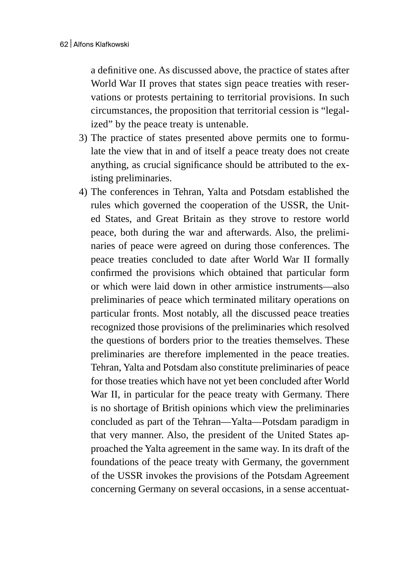a definitive one. As discussed above, the practice of states after World War II proves that states sign peace treaties with reservations or protests pertaining to territorial provisions. In such circumstances, the proposition that territorial cession is "legalized" by the peace treaty is untenable.

- 3) The practice of states presented above permits one to formulate the view that in and of itself a peace treaty does not create anything, as crucial significance should be attributed to the existing preliminaries.
- 4) The conferences in Tehran, Yalta and Potsdam established the rules which governed the cooperation of the USSR, the United States, and Great Britain as they strove to restore world peace, both during the war and afterwards. Also, the preliminaries of peace were agreed on during those conferences. The peace treaties concluded to date after World War II formally confirmed the provisions which obtained that particular form or which were laid down in other armistice instruments—also preliminaries of peace which terminated military operations on particular fronts. Most notably, all the discussed peace treaties recognized those provisions of the preliminaries which resolved the questions of borders prior to the treaties themselves. These preliminaries are therefore implemented in the peace treaties. Tehran, Yalta and Potsdam also constitute preliminaries of peace for those treaties which have not yet been concluded after World War II, in particular for the peace treaty with Germany. There is no shortage of British opinions which view the preliminaries concluded as part of the Tehran—Yalta—Potsdam paradigm in that very manner. Also, the president of the United States approached the Yalta agreement in the same way. In its draft of the foundations of the peace treaty with Germany, the government of the USSR invokes the provisions of the Potsdam Agreement concerning Germany on several occasions, in a sense accentuat-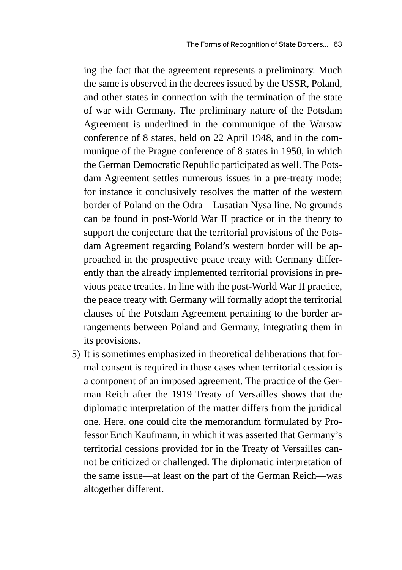ing the fact that the agreement represents a preliminary. Much the same is observed in the decrees issued by the USSR, Poland, and other states in connection with the termination of the state of war with Germany. The preliminary nature of the Potsdam Agreement is underlined in the communique of the Warsaw conference of 8 states, held on 22 April 1948, and in the communique of the Prague conference of 8 states in 1950, in which the German Democratic Republic participated as well. The Potsdam Agreement settles numerous issues in a pre-treaty mode; for instance it conclusively resolves the matter of the western border of Poland on the Odra – Lusatian Nysa line. No grounds can be found in post-World War II practice or in the theory to support the conjecture that the territorial provisions of the Potsdam Agreement regarding Poland's western border will be approached in the prospective peace treaty with Germany differently than the already implemented territorial provisions in previous peace treaties. In line with the post-World War II practice, the peace treaty with Germany will formally adopt the territorial clauses of the Potsdam Agreement pertaining to the border arrangements between Poland and Germany, integrating them in its provisions.

5) It is sometimes emphasized in theoretical deliberations that formal consent is required in those cases when territorial cession is a component of an imposed agreement. The practice of the German Reich after the 1919 Treaty of Versailles shows that the diplomatic interpretation of the matter differs from the juridical one. Here, one could cite the memorandum formulated by Professor Erich Kaufmann, in which it was asserted that Germany's territorial cessions provided for in the Treaty of Versailles cannot be criticized or challenged. The diplomatic interpretation of the same issue—at least on the part of the German Reich—was altogether different.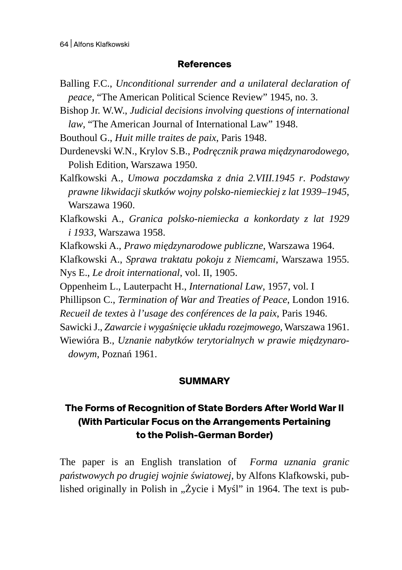#### **References**

- Balling F.C., *Unconditional surrender and a unilateral declaration of peace*, "The American Political Science Review" 1945, no. 3.
- Bishop Jr. W.W., *Judicial decisions involving questions of international law*, "The American Journal of International Law" 1948.
- Bouthoul G., *Huit mille traites de paix*, Paris 1948.
- Durdenevski W.N., Krylov S.B., *Podręcznik prawa międzynarodowego*, Polish Edition, Warszawa 1950.
- Kalfkowski A., *Umowa poczdamska z dnia 2.VIII.1945 r*. *Podstawy prawne likwidacji skutków wojny polsko-niemieckiej z lat 1939–1945*, Warszawa 1960.
- Klafkowski A., *Granica polsko-niemiecka a konkordaty z lat 1929 i 1933*, Warszawa 1958.
- Klafkowski A., *Prawo międzynarodowe publiczne*, Warszawa 1964.
- Klafkowski A., *Sprawa traktatu pokoju z Niemcami*, Warszawa 1955. Nys E., *Le droit international*, vol. II, 1905.
- Oppenheim L., Lauterpacht H., *International Law*, 1957, vol. I
- Phillipson C., *Termination of War and Treaties of Peace*, London 1916. *Recueil de textes à l'usage des conférences de la paix*, Paris 1946.
- Sawicki J., *Zawarcie i wygaśnięcie układu rozejmowego*, Warszawa 1961.
- Wiewióra B., *Uznanie nabytków terytorialnych w prawie międzynarodowym*, Poznań 1961.

## **SUMMARY**

## **The Forms of Recognition of State Borders After World War II (With Particular Focus on the Arrangements Pertaining to the Polish-German Border)**

The paper is an English translation of *Forma uznania granic państwowych po drugiej wojnie światowej*, by Alfons Klafkowski, published originally in Polish in "Życie i Myśl" in 1964. The text is pub